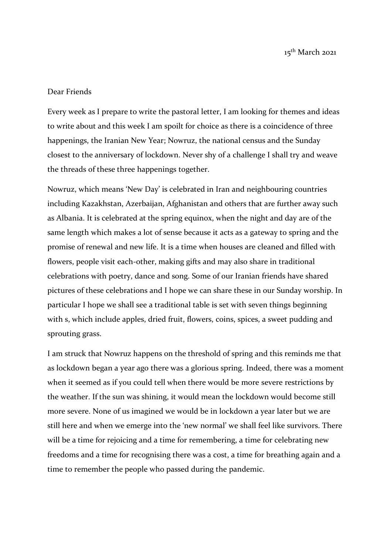15th March 2021

## Dear Friends

Every week as I prepare to write the pastoral letter, I am looking for themes and ideas to write about and this week I am spoilt for choice as there is a coincidence of three happenings, the Iranian New Year; Nowruz, the national census and the Sunday closest to the anniversary of lockdown. Never shy of a challenge I shall try and weave the threads of these three happenings together.

Nowruz, which means 'New Day' is celebrated in Iran and neighbouring countries including Kazakhstan, Azerbaijan, Afghanistan and others that are further away such as Albania. It is celebrated at the spring equinox, when the night and day are of the same length which makes a lot of sense because it acts as a gateway to spring and the promise of renewal and new life. It is a time when houses are cleaned and filled with flowers, people visit each-other, making gifts and may also share in traditional celebrations with poetry, dance and song. Some of our Iranian friends have shared pictures of these celebrations and I hope we can share these in our Sunday worship. In particular I hope we shall see a traditional table is set with seven things beginning with s, which include apples, dried fruit, flowers, coins, spices, a sweet pudding and sprouting grass.

I am struck that Nowruz happens on the threshold of spring and this reminds me that as lockdown began a year ago there was a glorious spring. Indeed, there was a moment when it seemed as if you could tell when there would be more severe restrictions by the weather. If the sun was shining, it would mean the lockdown would become still more severe. None of us imagined we would be in lockdown a year later but we are still here and when we emerge into the 'new normal' we shall feel like survivors. There will be a time for rejoicing and a time for remembering, a time for celebrating new freedoms and a time for recognising there was a cost, a time for breathing again and a time to remember the people who passed during the pandemic.